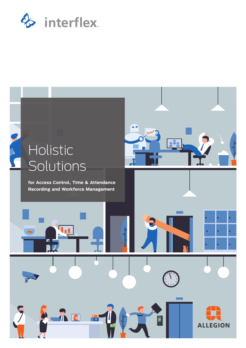

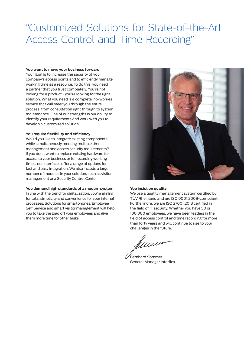# "Customized Solutions for State-of-the-Art Access Control and Time Recording"

#### **You want to move your business forward**

Your goal is to increase the security of your company's access points and to efficiently manage working time as a resource. To do this, you need a partner that you trust completely. You're not looking for a product - you're looking for the right solution. What you need is a complete, no-worries service that will steer you through the entire process, from consultation right through to system maintenance. One of our strengths is our ability to identify your requirements and work with you to develop a customized solution.

### **You require flexibility and efficiency**

Would you like to integrate existing components while simultaneously meeting multiple time management and access security requirements? If you don't want to replace existing hardware for access to your business or for recording working times, our interfaces offer a range of options for fast and easy integration. We also include a large number of modules in your solution, such as visitor management or a Security Control Center.

#### **You demand high standards of a modern system**

In line with the trend for digitalization, you're aiming for total simplicity and convenience for your internal processes. Solutions for smartphones, Employee Self Service and smart visitor management will help you to take the load off your employees and give them more time for other tasks.



#### **You insist on quality**

We use a quality management system certified by TÜV Rheinland and are ISO 9001:2008-compliant. Furthermore, we are ISO 27001:2013 certified in the field of IT security. Whether you have 50 or 100,000 employees, we have been leaders in the field of access control and time recording for more than forty years and will continue to rise to your challenges in the future.

,,,,,,,

Bernhard Sommer General Manager Interflex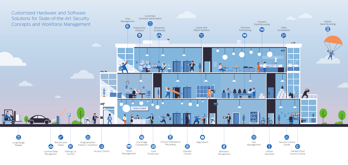